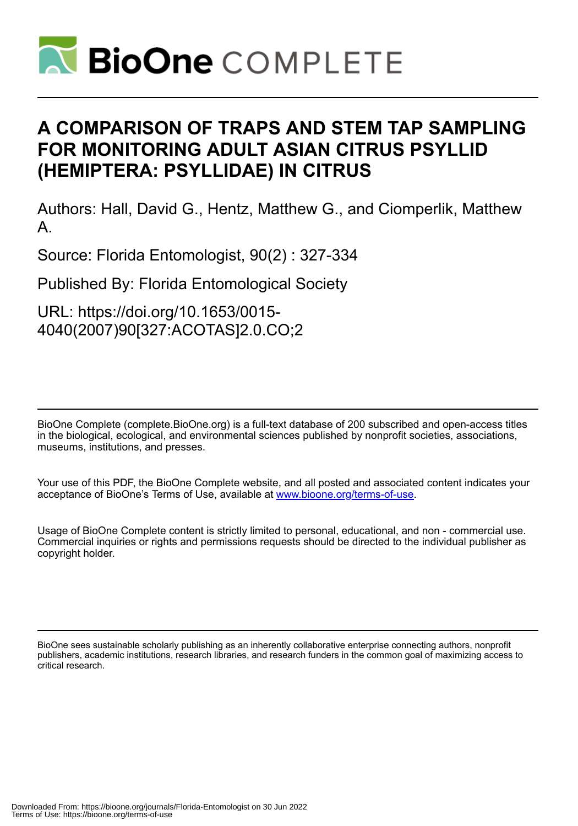

# **A COMPARISON OF TRAPS AND STEM TAP SAMPLING FOR MONITORING ADULT ASIAN CITRUS PSYLLID (HEMIPTERA: PSYLLIDAE) IN CITRUS**

Authors: Hall, David G., Hentz, Matthew G., and Ciomperlik, Matthew A.

Source: Florida Entomologist, 90(2) : 327-334

Published By: Florida Entomological Society

URL: https://doi.org/10.1653/0015- 4040(2007)90[327:ACOTAS]2.0.CO;2

BioOne Complete (complete.BioOne.org) is a full-text database of 200 subscribed and open-access titles in the biological, ecological, and environmental sciences published by nonprofit societies, associations, museums, institutions, and presses.

Your use of this PDF, the BioOne Complete website, and all posted and associated content indicates your acceptance of BioOne's Terms of Use, available at www.bioone.org/terms-of-use.

Usage of BioOne Complete content is strictly limited to personal, educational, and non - commercial use. Commercial inquiries or rights and permissions requests should be directed to the individual publisher as copyright holder.

BioOne sees sustainable scholarly publishing as an inherently collaborative enterprise connecting authors, nonprofit publishers, academic institutions, research libraries, and research funders in the common goal of maximizing access to critical research.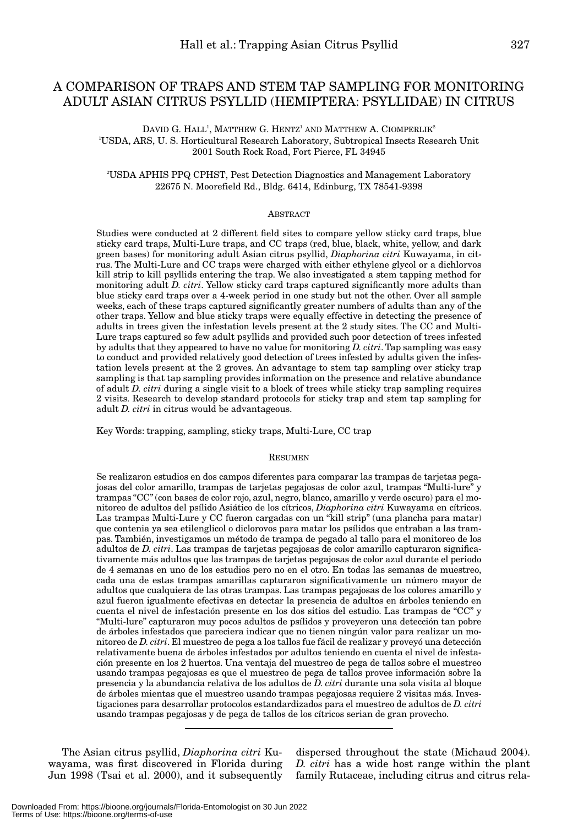# A COMPARISON OF TRAPS AND STEM TAP SAMPLING FOR MONITORING ADULT ASIAN CITRUS PSYLLID (HEMIPTERA: PSYLLIDAE) IN CITRUS

## DAVID G. HALL<sup>1</sup>, MATTHEW G. HENTZ<sup>1</sup> AND MATTHEW A. CIOMPERLIK<sup>2</sup> 1 USDA, ARS, U. S. Horticultural Research Laboratory, Subtropical Insects Research Unit 2001 South Rock Road, Fort Pierce, FL 34945

## 2 USDA APHIS PPQ CPHST, Pest Detection Diagnostics and Management Laboratory 22675 N. Moorefield Rd., Bldg. 6414, Edinburg, TX 78541-9398

# **ABSTRACT**

Studies were conducted at 2 different field sites to compare yellow sticky card traps, blue sticky card traps, Multi-Lure traps, and CC traps (red, blue, black, white, yellow, and dark green bases) for monitoring adult Asian citrus psyllid, *Diaphorina citri* Kuwayama, in citrus. The Multi-Lure and CC traps were charged with either ethylene glycol or a dichlorvos kill strip to kill psyllids entering the trap. We also investigated a stem tapping method for monitoring adult *D. citri*. Yellow sticky card traps captured significantly more adults than blue sticky card traps over a 4-week period in one study but not the other. Over all sample weeks, each of these traps captured significantly greater numbers of adults than any of the other traps. Yellow and blue sticky traps were equally effective in detecting the presence of adults in trees given the infestation levels present at the 2 study sites. The CC and Multi-Lure traps captured so few adult psyllids and provided such poor detection of trees infested by adults that they appeared to have no value for monitoring *D. citri*. Tap sampling was easy to conduct and provided relatively good detection of trees infested by adults given the infestation levels present at the 2 groves. An advantage to stem tap sampling over sticky trap sampling is that tap sampling provides information on the presence and relative abundance of adult *D. citri* during a single visit to a block of trees while sticky trap sampling requires 2 visits. Research to develop standard protocols for sticky trap and stem tap sampling for adult *D. citri* in citrus would be advantageous.

Key Words: trapping, sampling, sticky traps, Multi-Lure, CC trap

## RESUMEN

Se realizaron estudios en dos campos diferentes para comparar las trampas de tarjetas pegajosas del color amarillo, trampas de tarjetas pegajosas de color azul, trampas "Multi-lure" y trampas "CC" (con bases de color rojo, azul, negro, blanco, amarillo y verde oscuro) para el monitoreo de adultos del psílido Asiático de los cítricos, *Diaphorina citri* Kuwayama en cítricos. Las trampas Multi-Lure y CC fueron cargadas con un "kill strip" (una plancha para matar) que contenia ya sea etilenglicol o diclorovos para matar los psílidos que entraban a las trampas. También, investigamos un método de trampa de pegado al tallo para el monitoreo de los adultos de *D. citri*. Las trampas de tarjetas pegajosas de color amarillo capturaron significativamente más adultos que las trampas de tarjetas pegajosas de color azul durante el periodo de 4 semanas en uno de los estudios pero no en el otro. En todas las semanas de muestreo, cada una de estas trampas amarillas capturaron significativamente un número mayor de adultos que cualquiera de las otras trampas. Las trampas pegajosas de los colores amarillo y azul fueron igualmente efectivas en detectar la presencia de adultos en árboles teniendo en cuenta el nivel de infestación presente en los dos sitios del estudio. Las trampas de "CC" y "Multi-lure" capturaron muy pocos adultos de psílidos y proveyeron una detección tan pobre de árboles infestados que pareciera indicar que no tienen ningún valor para realizar un monitoreo de *D. citri*. El muestreo de pega a los tallos fue fácil de realizar y proveyó una detección relativamente buena de árboles infestados por adultos teniendo en cuenta el nivel de infestación presente en los 2 huertos. Una ventaja del muestreo de pega de tallos sobre el muestreo usando trampas pegajosas es que el muestreo de pega de tallos provee información sobre la presencia y la abundancia relativa de los adultos de *D. citri* durante una sola visita al bloque de árboles mientas que el muestreo usando trampas pegajosas requiere 2 visitas más. Investigaciones para desarrollar protocolos estandardizados para el muestreo de adultos de *D. citri* usando trampas pegajosas y de pega de tallos de los cítricos serian de gran provecho.

The Asian citrus psyllid, *Diaphorina citri* Kuwayama, was first discovered in Florida during Jun 1998 (Tsai et al. 2000), and it subsequently

dispersed throughout the state (Michaud 2004). *D. citri* has a wide host range within the plant family Rutaceae, including citrus and citrus rela-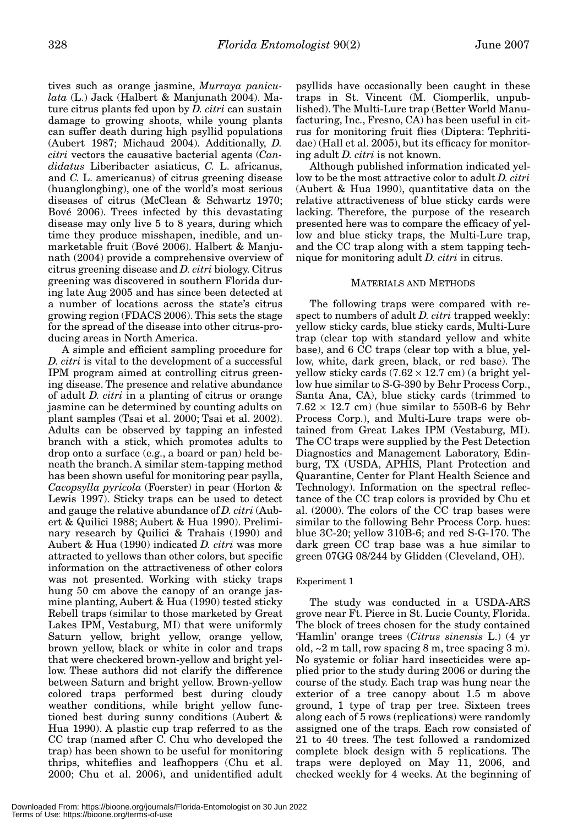tives such as orange jasmine, *Murraya paniculata* (L.) Jack (Halbert & Manjunath 2004). Mature citrus plants fed upon by *D. citri* can sustain damage to growing shoots, while young plants can suffer death during high psyllid populations (Aubert 1987; Michaud 2004). Additionally, *D. citri* vectors the causative bacterial agents (*Candidatus* Liberibacter asiaticus, *C.* L. africanus, and *C.* L. americanus) of citrus greening disease (huanglongbing), one of the world's most serious diseases of citrus (McClean & Schwartz 1970; Bové 2006). Trees infected by this devastating disease may only live 5 to 8 years, during which time they produce misshapen, inedible, and unmarketable fruit (Bové 2006). Halbert & Manjunath (2004) provide a comprehensive overview of citrus greening disease and *D. citri* biology. Citrus greening was discovered in southern Florida during late Aug 2005 and has since been detected at a number of locations across the state's citrus growing region (FDACS 2006). This sets the stage for the spread of the disease into other citrus-producing areas in North America.

A simple and efficient sampling procedure for *D. citri* is vital to the development of a successful IPM program aimed at controlling citrus greening disease. The presence and relative abundance of adult *D. citri* in a planting of citrus or orange jasmine can be determined by counting adults on plant samples (Tsai et al. 2000; Tsai et al. 2002). Adults can be observed by tapping an infested branch with a stick, which promotes adults to drop onto a surface (e.g., a board or pan) held beneath the branch. A similar stem-tapping method has been shown useful for monitoring pear psylla, *Cacopsylla pyricola* (Foerster) in pear (Horton & Lewis 1997). Sticky traps can be used to detect and gauge the relative abundance of *D. citri* (Aubert & Quilici 1988; Aubert & Hua 1990). Preliminary research by Quilici & Trahais (1990) and Aubert & Hua (1990) indicated *D. citri* was more attracted to yellows than other colors, but specific information on the attractiveness of other colors was not presented. Working with sticky traps hung 50 cm above the canopy of an orange jasmine planting, Aubert & Hua (1990) tested sticky Rebell traps (similar to those marketed by Great Lakes IPM, Vestaburg, MI) that were uniformly Saturn yellow, bright yellow, orange yellow, brown yellow, black or white in color and traps that were checkered brown-yellow and bright yellow. These authors did not clarify the difference between Saturn and bright yellow. Brown-yellow colored traps performed best during cloudy weather conditions, while bright yellow functioned best during sunny conditions (Aubert & Hua 1990). A plastic cup trap referred to as the CC trap (named after C. Chu who developed the trap) has been shown to be useful for monitoring thrips, whiteflies and leafhoppers (Chu et al. 2000; Chu et al. 2006), and unidentified adult psyllids have occasionally been caught in these traps in St. Vincent (M. Ciomperlik, unpublished). The Multi-Lure trap (Better World Manufacturing, Inc., Fresno, CA) has been useful in citrus for monitoring fruit flies (Diptera: Tephritidae) (Hall et al. 2005), but its efficacy for monitoring adult *D. citri* is not known.

Although published information indicated yellow to be the most attractive color to adult *D. citri* (Aubert & Hua 1990), quantitative data on the relative attractiveness of blue sticky cards were lacking. Therefore, the purpose of the research presented here was to compare the efficacy of yellow and blue sticky traps, the Multi-Lure trap, and the CC trap along with a stem tapping technique for monitoring adult *D. citri* in citrus.

## MATERIALS AND METHODS

The following traps were compared with respect to numbers of adult *D. citri* trapped weekly: yellow sticky cards, blue sticky cards, Multi-Lure trap (clear top with standard yellow and white base), and 6 CC traps (clear top with a blue, yellow, white, dark green, black, or red base). The yellow sticky cards  $(7.62 \times 12.7 \text{ cm})$  (a bright yellow hue similar to S-G-390 by Behr Process Corp., Santa Ana, CA), blue sticky cards (trimmed to  $7.62 \times 12.7$  cm) (hue similar to 550B-6 by Behr Process Corp.), and Multi-Lure traps were obtained from Great Lakes IPM (Vestaburg, MI). The CC traps were supplied by the Pest Detection Diagnostics and Management Laboratory, Edinburg, TX (USDA, APHIS, Plant Protection and Quarantine, Center for Plant Health Science and Technology). Information on the spectral reflectance of the CC trap colors is provided by Chu et al. (2000). The colors of the CC trap bases were similar to the following Behr Process Corp. hues: blue 3C-20; yellow 310B-6; and red S-G-170. The dark green CC trap base was a hue similar to green 07GG 08/244 by Glidden (Cleveland, OH).

#### Experiment 1

The study was conducted in a USDA-ARS grove near Ft. Pierce in St. Lucie County, Florida. The block of trees chosen for the study contained 'Hamlin' orange trees (*Citrus sinensis* L.) (4 yr old, ~2 m tall, row spacing 8 m, tree spacing 3 m). No systemic or foliar hard insecticides were applied prior to the study during 2006 or during the course of the study. Each trap was hung near the exterior of a tree canopy about 1.5 m above ground, 1 type of trap per tree. Sixteen trees along each of 5 rows (replications) were randomly assigned one of the traps. Each row consisted of 21 to 40 trees. The test followed a randomized complete block design with 5 replications. The traps were deployed on May 11, 2006, and checked weekly for 4 weeks. At the beginning of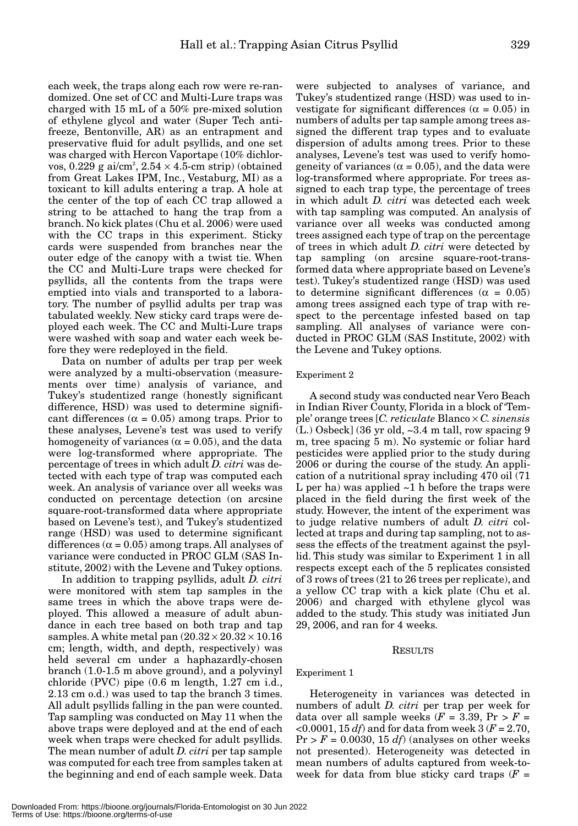each week, the traps along each row were re-randomized. One set of CC and Multi-Lure traps was charged with 15 mL of a 50% pre-mixed solution of ethylene glycol and water (Super Tech antifreeze, Bentonville, AR) as an entrapment and preservative fluid for adult psyllids, and one set was charged with Hercon Vaportape (10% dichlorvos, 0.229 g ai/cm<sup>2</sup>, 2.54  $\times$  4.5-cm strip) (obtained from Great Lakes IPM, Inc., Vestaburg, MI) as a toxicant to kill adults entering a trap. A hole at the center of the top of each CC trap allowed a string to be attached to hang the trap from a branch. No kick plates (Chu et al. 2006) were used with the CC traps in this experiment. Sticky cards were suspended from branches near the outer edge of the canopy with a twist tie. When the CC and Multi-Lure traps were checked for psyllids, all the contents from the traps were emptied into vials and transported to a laboratory. The number of psyllid adults per trap was tabulated weekly. New sticky card traps were deployed each week. The CC and Multi-Lure traps were washed with soap and water each week before they were redeployed in the field.

Data on number of adults per trap per week were analyzed by a multi-observation (measurements over time) analysis of variance, and Tukey's studentized range (honestly significant difference, HSD) was used to determine significant differences ( $\alpha = 0.05$ ) among traps. Prior to these analyses, Levene's test was used to verify homogeneity of variances ( $\alpha$  = 0.05), and the data were log-transformed where appropriate. The percentage of trees in which adult *D. citri* was detected with each type of trap was computed each week. An analysis of variance over all weeks was conducted on percentage detection (on arcsine square-root-transformed data where appropriate based on Levene's test), and Tukey's studentized range (HSD) was used to determine significant differences ( $\alpha$  = 0.05) among traps. All analyses of variance were conducted in PROC GLM (SAS Institute, 2002) with the Levene and Tukey options.

In addition to trapping psyllids, adult *D. citri* were monitored with stem tap samples in the same trees in which the above traps were deployed. This allowed a measure of adult abundance in each tree based on both trap and tap samples. A white metal pan  $(20.32 \times 20.32 \times 10.16)$ cm; length, width, and depth, respectively) was held several cm under a haphazardly-chosen branch (1.0-1.5 m above ground), and a polyvinyl chloride (PVC) pipe (0.6 m length, 1.27 cm i.d., 2.13 cm o.d.) was used to tap the branch 3 times. All adult psyllids falling in the pan were counted. Tap sampling was conducted on May 11 when the above traps were deployed and at the end of each week when traps were checked for adult psyllids. The mean number of adult *D. citri* per tap sample was computed for each tree from samples taken at the beginning and end of each sample week. Data

were subjected to analyses of variance, and Tukey's studentized range (HSD) was used to investigate for significant differences ( $\alpha = 0.05$ ) in numbers of adults per tap sample among trees assigned the different trap types and to evaluate dispersion of adults among trees. Prior to these analyses, Levene's test was used to verify homogeneity of variances ( $\alpha$  = 0.05), and the data were log-transformed where appropriate. For trees assigned to each trap type, the percentage of trees in which adult *D. citri* was detected each week with tap sampling was computed. An analysis of variance over all weeks was conducted among trees assigned each type of trap on the percentage of trees in which adult *D. citri* were detected by tap sampling (on arcsine square-root-transformed data where appropriate based on Levene's test). Tukey's studentized range (HSD) was used to determine significant differences ( $\alpha = 0.05$ ) among trees assigned each type of trap with respect to the percentage infested based on tap sampling. All analyses of variance were conducted in PROC GLM (SAS Institute, 2002) with the Levene and Tukey options.

## Experiment 2

A second study was conducted near Vero Beach in Indian River County, Florida in a block of 'Temple' orange trees [*C. reticulate* Blanco × *C. sinensis* (L.) Osbeck] (36 yr old, ~3.4 m tall, row spacing 9 m, tree spacing 5 m). No systemic or foliar hard pesticides were applied prior to the study during 2006 or during the course of the study. An application of a nutritional spray including 470 oil (71 L per ha) was applied  $\sim$ 1 h before the traps were placed in the field during the first week of the study. However, the intent of the experiment was to judge relative numbers of adult *D. citri* collected at traps and during tap sampling, not to assess the effects of the treatment against the psyllid. This study was similar to Experiment 1 in all respects except each of the 5 replicates consisted of 3 rows of trees (21 to 26 trees per replicate), and a yellow CC trap with a kick plate (Chu et al. 2006) and charged with ethylene glycol was added to the study. This study was initiated Jun 29, 2006, and ran for 4 weeks.

#### RESULTS

## Experiment 1

Heterogeneity in variances was detected in numbers of adult *D. citri* per trap per week for data over all sample weeks  $(F = 3.39, Pr > F =$ <0.0001, 15 *df*) and for data from week 3 (*F* = 2.70,  $Pr > F = 0.0030, 15 df$  (analyses on other weeks not presented). Heterogeneity was detected in mean numbers of adults captured from week-toweek for data from blue sticky card traps (*F* =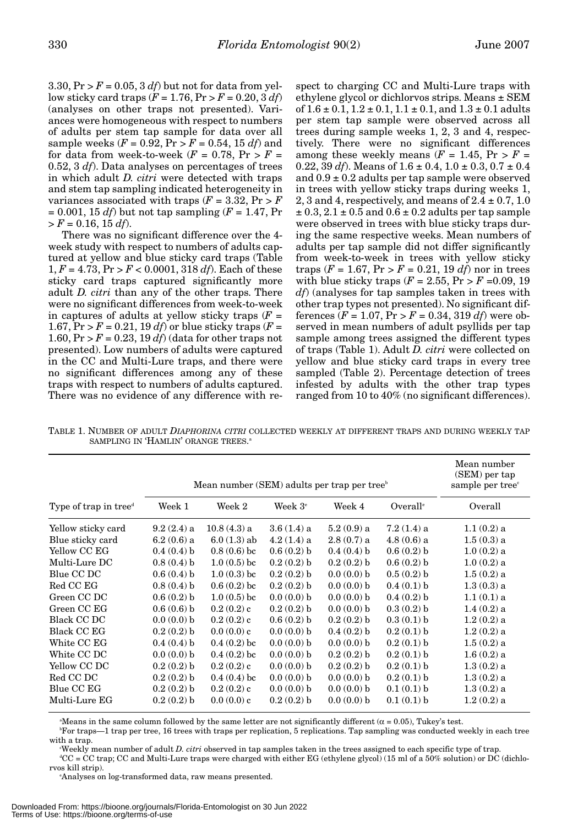3.30,  $Pr > F = 0.05$ , 3 *df*) but not for data from yellow sticky card traps  $(F = 1.76, Pr > F = 0.20, 3 df)$ (analyses on other traps not presented). Variances were homogeneous with respect to numbers of adults per stem tap sample for data over all sample weeks ( $F = 0.92$ ,  $Pr > F = 0.54$ , 15 *df*) and for data from week-to-week  $(F = 0.78, Pr > F =$ 0.52, 3 *df*). Data analyses on percentages of trees in which adult *D. citri* were detected with traps and stem tap sampling indicated heterogeneity in variances associated with traps  $(F = 3.32, Pr > F)$ = 0.001, 15 *df*) but not tap sampling (*F* = 1.47, Pr  $> F = 0.16, 15 df$ .

There was no significant difference over the 4 week study with respect to numbers of adults captured at yellow and blue sticky card traps (Table 1, *F* = 4.73, Pr > *F* < 0.0001, 318 *df*). Each of these sticky card traps captured significantly more adult *D. citri* than any of the other traps. There were no significant differences from week-to-week in captures of adults at yellow sticky traps  $(F =$ 1.67,  $Pr > F = 0.21$ , 19 *df*) or blue sticky traps ( $F =$ 1.60,  $Pr > F = 0.23$ , 19 *df*) (data for other traps not presented). Low numbers of adults were captured in the CC and Multi-Lure traps, and there were no significant differences among any of these traps with respect to numbers of adults captured. There was no evidence of any difference with respect to charging CC and Multi-Lure traps with ethylene glycol or dichlorvos strips. Means ± SEM of  $1.6 \pm 0.1$ ,  $1.2 \pm 0.1$ ,  $1.1 \pm 0.1$ , and  $1.3 \pm 0.1$  adults per stem tap sample were observed across all trees during sample weeks 1, 2, 3 and 4, respectively. There were no significant differences among these weekly means  $(F = 1.45, Pr > F =$ 0.22, 39 *df*). Means of  $1.6 \pm 0.4$ ,  $1.0 \pm 0.3$ ,  $0.7 \pm 0.4$ and  $0.9 \pm 0.2$  adults per tap sample were observed in trees with yellow sticky traps during weeks 1, 2, 3 and 4, respectively, and means of  $2.4 \pm 0.7$ , 1.0  $\pm$  0.3, 2.1  $\pm$  0.5 and 0.6  $\pm$  0.2 adults per tap sample were observed in trees with blue sticky traps during the same respective weeks. Mean numbers of adults per tap sample did not differ significantly from week-to-week in trees with yellow sticky traps ( $F = 1.67$ ,  $Pr > F = 0.21$ , 19 *df*) nor in trees with blue sticky traps  $(F = 2.55, Pr > F = 0.09, 19)$ *df*) (analyses for tap samples taken in trees with other trap types not presented). No significant differences  $(F = 1.07, Pr > F = 0.34, 319 df)$  were observed in mean numbers of adult psyllids per tap sample among trees assigned the different types of traps (Table 1). Adult *D. citri* were collected on yellow and blue sticky card traps in every tree sampled (Table 2). Percentage detection of trees infested by adults with the other trap types ranged from 10 to 40% (no significant differences).

TABLE 1. NUMBER OF ADULT *DIAPHORINA CITRI* COLLECTED WEEKLY AT DIFFERENT TRAPS AND DURING WEEKLY TAP SAMPLING IN 'HAMLIN' ORANGE TREES. a

|                                   | Mean number (SEM) adults per trap per tree $^{\circ}$ |               |                  |              |                      | Mean number<br>$(SEM)$ per tap<br>sample per tree <sup>c</sup> |
|-----------------------------------|-------------------------------------------------------|---------------|------------------|--------------|----------------------|----------------------------------------------------------------|
| Type of trap in tree <sup>d</sup> | Week 1                                                | Week 2        | Week $3^{\circ}$ | Week 4       | Overall <sup>e</sup> | Overall                                                        |
| Yellow sticky card                | $9.2(2.4)$ a                                          | $10.8(4.3)$ a | $3.6(1.4)$ a     | $5.2(0.9)$ a | $7.2(1.4)$ a         | $1.1(0.2)$ a                                                   |
| Blue sticky card                  | $6.2(0.6)$ a                                          | $6.0(1.3)$ ab | $4.2(1.4)$ a     | 2.8(0.7) a   | $4.8(0.6)$ a         | $1.5(0.3)$ a                                                   |
| Yellow CC EG                      | $0.4(0.4)$ b                                          | $0.8(0.6)$ bc | $0.6(0.2)$ b     | $0.4(0.4)$ b | 0.6(0.2) b           | $1.0(0.2)$ a                                                   |
| Multi-Lure DC                     | $0.8(0.4)$ b                                          | $1.0(0.5)$ bc | $0.2(0.2)$ b     | $0.2(0.2)$ b | $0.6(0.2)$ b         | $1.0(0.2)$ a                                                   |
| Blue CC DC                        | 0.6(0.4) b                                            | $1.0(0.3)$ bc | $0.2(0.2)$ b     | $0.0(0.0)$ b | $0.5(0.2)$ b         | $1.5(0.2)$ a                                                   |
| Red CC EG                         | $0.8(0.4)$ b                                          | $0.6(0.2)$ bc | $0.2(0.2)$ b     | $0.0(0.0)$ b | 0.4(0.1) b           | $1.3(0.3)$ a                                                   |
| Green CC DC                       | 0.6(0.2) b                                            | $1.0(0.5)$ bc | $0.0(0.0)$ b     | $0.0(0.0)$ b | $0.4(0.2)$ b         | $1.1(0.1)$ a                                                   |
| Green CC EG                       | $0.6(0.6)$ b                                          | $0.2(0.2)$ c  | $0.2(0.2)$ b     | $0.0(0.0)$ b | $0.3(0.2)$ b         | $1.4(0.2)$ a                                                   |
| <b>Black CC DC</b>                | $0.0(0.0)$ b                                          | $0.2(0.2)$ c  | 0.6(0.2) b       | $0.2(0.2)$ b | 0.3(0.1) b           | $1.2(0.2)$ a                                                   |
| <b>Black CC EG</b>                | $0.2(0.2)$ b                                          | $0.0(0.0)$ c  | $0.0(0.0)$ b     | $0.4(0.2)$ b | 0.2(0.1) b           | $1.2(0.2)$ a                                                   |
| White CC EG                       | 0.4(0.4) b                                            | $0.4(0.2)$ bc | $0.0(0.0)$ b     | $0.0(0.0)$ b | 0.2(0.1) b           | $1.5(0.2)$ a                                                   |
| White CC DC                       | $0.0(0.0)$ b                                          | $0.4(0.2)$ bc | $0.0(0.0)$ b     | $0.2(0.2)$ b | 0.2(0.1) b           | $1.6(0.2)$ a                                                   |
| Yellow CC DC                      | $0.2(0.2)$ b                                          | $0.2(0.2)$ c  | $0.0(0.0)$ b     | $0.2(0.2)$ b | 0.2(0.1) b           | $1.3(0.2)$ a                                                   |
| Red CC DC                         | $0.2(0.2)$ b                                          | $0.4(0.4)$ bc | $0.0(0.0)$ b     | $0.0(0.0)$ b | 0.2(0.1) b           | $1.3(0.2)$ a                                                   |
| Blue CC EG                        | $0.2(0.2)$ b                                          | $0.2(0.2)$ c  | $0.0(0.0)$ b     | $0.0(0.0)$ b | 0.1(0.1) b           | $1.3(0.2)$ a                                                   |
| Multi-Lure EG                     | $0.2(0.2)$ b                                          | $0.0(0.0)$ c  | $0.2(0.2)$ b     | 0.0(0.0) b   | 0.1(0.1) b           | $1.2(0.2)$ a                                                   |

<sup>a</sup> Means in the same column followed by the same letter are not significantly different ( $α = 0.05$ ), Tukey's test.

b For traps—1 trap per tree, 16 trees with traps per replication, 5 replications. Tap sampling was conducted weekly in each tree with a trap.

c Weekly mean number of adult *D. citri* observed in tap samples taken in the trees assigned to each specific type of trap. d CC = CC trap; CC and Multi-Lure traps were charged with either EG (ethylene glycol) (15 ml of a 50% solution) or DC (dichlo-

rvos kill strip).

e Analyses on log-transformed data, raw means presented.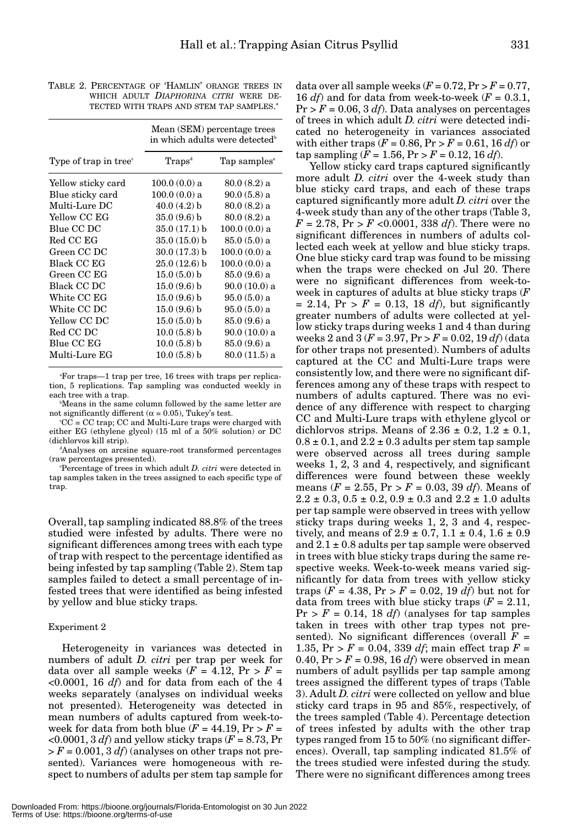| ۰.<br>۰.             |  |
|----------------------|--|
| M.<br>۰.<br>M.<br>۰. |  |

|                                   |                  | Mean (SEM) percentage trees<br>in which adults were detected <sup>b</sup> |
|-----------------------------------|------------------|---------------------------------------------------------------------------|
| Type of trap in tree <sup>c</sup> | $\text{Traps}^d$ | Tap samples <sup>e</sup>                                                  |
| Yellow sticky card                | $100.0(0.0)$ a   | $80.0(8.2)$ a                                                             |
| Blue sticky card                  | $100.0(0.0)$ a   | $90.0(5.8)$ a                                                             |
| Multi-Lure DC                     | $40.0(4.2)$ b    | $80.0(8.2)$ a                                                             |
| Yellow CC EG                      | $35.0(9.6)$ b    | $80.0(8.2)$ a                                                             |
| Blue CC DC                        | $35.0(17.1)$ b   | $100.0(0.0)$ a                                                            |
| Red CC EG                         | $35.0(15.0)$ b   | $85.0(5.0)$ a                                                             |
| Green CC DC                       | $30.0(17.3)$ b   | $100.0(0.0)$ a                                                            |
| Black CC EG                       | $25.0(12.6)$ b   | $100.0(0.0)$ a                                                            |
| Green CC EG                       | $15.0(5.0)$ b    | $85.0(9.6)$ a                                                             |
| Black CC DC                       | 15.0(9.6) b      | $90.0(10.0)$ a                                                            |
| White CC EG                       | $15.0(9.6)$ b    | $95.0(5.0)$ a                                                             |
| White CC DC                       | $15.0(9.6)$ b    | $95.0(5.0)$ a                                                             |
| Yellow CC DC                      | $15.0(5.0)$ b    | $85.0(9.6)$ a                                                             |
| Red CC DC                         | $10.0(5.8)$ b    | $90.0(10.0)$ a                                                            |
| Blue CC EG                        | $10.0(5.8)$ b    | $85.0(9.6)$ a                                                             |
| Multi-Lure EG                     | $10.0(5.8)$ b    | $80.0(11.5)$ a                                                            |

TABLE 2. PERCENTAGE OF 'HAMLIN' ORANGE TREES IN WHICH ADULT *DIAPHORINA CITRI* WERE DE-TECTED WITH TRAPS AND STEM TAP SAMPLES.<sup>a</sup>

a For traps—1 trap per tree, 16 trees with traps per replication, 5 replications. Tap sampling was conducted weekly in each tree with a trap.

b Means in the same column followed by the same letter are not significantly different ( $\alpha$  = 0.05), Tukey's test.

c CC = CC trap; CC and Multi-Lure traps were charged with either EG (ethylene glycol) (15 ml of a 50% solution) or DC (dichlorvos kill strip).

d Analyses on arcsine square-root transformed percentages (raw percentages presented).

e Percentage of trees in which adult *D. citri* were detected in tap samples taken in the trees assigned to each specific type of trap.

Overall, tap sampling indicated 88.8% of the trees studied were infested by adults. There were no significant differences among trees with each type of trap with respect to the percentage identified as being infested by tap sampling (Table 2). Stem tap samples failed to detect a small percentage of infested trees that were identified as being infested by yellow and blue sticky traps.

# Experiment 2

Heterogeneity in variances was detected in numbers of adult *D. citri* per trap per week for data over all sample weeks  $(F = 4.12, Pr > F =$ <0.0001, 16 *df*) and for data from each of the 4 weeks separately (analyses on individual weeks not presented). Heterogeneity was detected in mean numbers of adults captured from week-toweek for data from both blue  $(F = 44.19, Pr > F =$  $\langle 0.0001, 3 \, df \rangle$  and yellow sticky traps ( $F = 8.73$ , Pr  $>F = 0.001, 3 df$  (analyses on other traps not presented). Variances were homogeneous with respect to numbers of adults per stem tap sample for

data over all sample weeks  $(F = 0.72, Pr > F = 0.77,$ 16  $df$ ) and for data from week-to-week ( $F = 0.3.1$ ,  $Pr > F = 0.06, 3 df$ . Data analyses on percentages of trees in which adult *D. citri* were detected indicated no heterogeneity in variances associated with either traps ( $F = 0.86$ ,  $Pr > F = 0.61$ , 16 *df*) or  $\tan{p}$  tap sampling (*F* = 1.56, Pr > *F* = 0.12, 16 *df*).

Yellow sticky card traps captured significantly more adult *D. citri* over the 4-week study than blue sticky card traps, and each of these traps captured significantly more adult *D. citri* over the 4-week study than any of the other traps (Table 3, *F* = 2.78, Pr > *F* <0.0001, 338 *df*). There were no significant differences in numbers of adults collected each week at yellow and blue sticky traps. One blue sticky card trap was found to be missing when the traps were checked on Jul 20. There were no significant differences from week-toweek in captures of adults at blue sticky traps (*F*  $= 2.14$ ,  $Pr > F = 0.13$ , 18 *df*), but significantly greater numbers of adults were collected at yellow sticky traps during weeks 1 and 4 than during weeks 2 and 3 (*F* = 3.97, Pr > *F* = 0.02, 19 *df*) (data for other traps not presented). Numbers of adults captured at the CC and Multi-Lure traps were consistently low, and there were no significant differences among any of these traps with respect to numbers of adults captured. There was no evidence of any difference with respect to charging CC and Multi-Lure traps with ethylene glycol or dichlorvos strips. Means of  $2.36 \pm 0.2$ ,  $1.2 \pm 0.1$ ,  $0.8 \pm 0.1$ , and  $2.2 \pm 0.3$  adults per stem tap sample were observed across all trees during sample weeks 1, 2, 3 and 4, respectively, and significant differences were found between these weekly means ( $F = 2.55$ ,  $Pr > F = 0.03$ , 39 *df*). Means of  $2.2\pm0.3,\,0.5\pm0.2,\,0.9\pm0.3$  and  $2.2\pm1.0$  adults per tap sample were observed in trees with yellow sticky traps during weeks 1, 2, 3 and 4, respectively, and means of  $2.9 \pm 0.7$ ,  $1.1 \pm 0.4$ ,  $1.6 \pm 0.9$ and  $2.1 \pm 0.8$  adults per tap sample were observed in trees with blue sticky traps during the same respective weeks. Week-to-week means varied significantly for data from trees with yellow sticky traps  $(F = 4.38, Pr > F = 0.02, 19 \text{ df})$  but not for data from trees with blue sticky traps  $(F = 2.11,$  $Pr > F = 0.14$ , 18 *df*) (analyses for tap samples taken in trees with other trap types not presented). No significant differences (overall *F* = 1.35, Pr > *F* = 0.04, 339 *df*; main effect trap *F* = 0.40,  $Pr > F = 0.98$ , 16 *df*) were observed in mean numbers of adult psyllids per tap sample among trees assigned the different types of traps (Table 3). Adult *D. citri* were collected on yellow and blue sticky card traps in 95 and 85%, respectively, of the trees sampled (Table 4). Percentage detection of trees infested by adults with the other trap types ranged from 15 to 50% (no significant differences). Overall, tap sampling indicated 81.5% of the trees studied were infested during the study. There were no significant differences among trees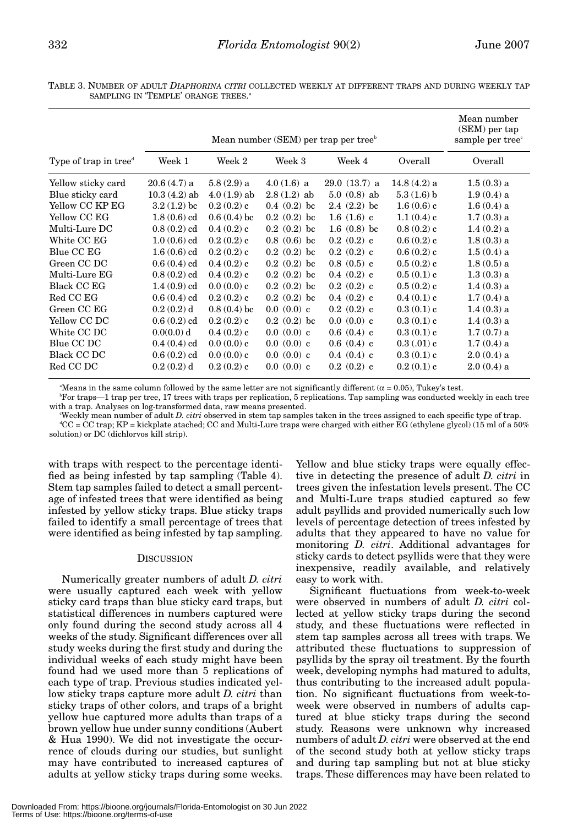|                                   |                | Mean number $(SEM)$ per trap per tree <sup>b</sup> |               |                |               |              |
|-----------------------------------|----------------|----------------------------------------------------|---------------|----------------|---------------|--------------|
| Type of trap in tree <sup>d</sup> | Week 1         | Week 2                                             | Week 3        | Week 4         | Overall       | Overall      |
| Yellow sticky card                | 20.6(4.7) a    | $5.8(2.9)$ a                                       | $4.0(1.6)$ a  | $29.0(13.7)$ a | $14.8(4.2)$ a | $1.5(0.3)$ a |
| Blue sticky card                  | $10.3(4.2)$ ab | $4.0(1.9)$ ab                                      | $2.8(1.2)$ ab | $5.0(0.8)$ ab  | $5.3(1.6)$ b  | $1.9(0.4)$ a |
| Yellow CC KP EG                   | $3.2(1.2)$ bc  | $0.2(0.2)$ c                                       | $0.4(0.2)$ bc | $2.4(2.2)$ bc  | $1.6(0.6)$ c  | $1.6(0.4)$ a |
| Yellow CC EG                      | $1.8(0.6)$ cd  | $0.6(0.4)$ bc                                      | $0.2(0.2)$ bc | 1.6(1.6)c      | 1.1(0.4)c     | $1.7(0.3)$ a |
| Multi-Lure DC                     | $0.8(0.2)$ cd  | $0.4(0.2)$ c                                       | $0.2(0.2)$ bc | $1.6(0.8)$ bc  | $0.8(0.2)$ c  | $1.4(0.2)$ a |
| White CC EG                       | $1.0(0.6)$ cd  | $0.2(0.2)$ c                                       | $0.8(0.6)$ bc | $0.2(0.2)$ c   | $0.6(0.2)$ c  | $1.8(0.3)$ a |
| Blue CC EG                        | $1.6(0.6)$ cd  | $0.2(0.2)$ c                                       | $0.2(0.2)$ bc | $0.2(0.2)$ c   | $0.6(0.2)$ c  | $1.5(0.4)$ a |
| Green CC DC                       | $0.6(0.4)$ cd  | $0.4(0.2)$ c                                       | $0.2(0.2)$ bc | $0.8(0.5)$ c   | $0.5(0.2)$ c  | $1.8(0.5)$ a |
| Multi-Lure EG                     | $0.8(0.2)$ cd  | $0.4(0.2)$ c                                       | $0.2(0.2)$ bc | $0.4(0.2)$ c   | $0.5(0.1)$ c  | $1.3(0.3)$ a |
| Black CC EG                       | $1.4(0.9)$ cd  | $0.0(0.0)$ c                                       | $0.2(0.2)$ bc | $0.2(0.2)$ c   | $0.5(0.2)$ c  | $1.4(0.3)$ a |
| Red CC EG                         | $0.6(0.4)$ cd  | $0.2(0.2)$ c                                       | $0.2(0.2)$ bc | $0.4(0.2)$ c   | $0.4(0.1)$ c  | $1.7(0.4)$ a |
| Green CC EG                       | 0.2(0.2) d     | $0.8(0.4)$ bc                                      | $0.0(0.0)$ c  | $0.2(0.2)$ c   | $0.3(0.1)$ c  | $1.4(0.3)$ a |
| Yellow CC DC                      | $0.6(0.2)$ cd  | $0.2(0.2)$ c                                       | $0.2(0.2)$ bc | $0.0(0.0)$ c   | $0.3(0.1)$ c  | $1.4(0.3)$ a |
| White CC DC                       | $0.0(0.0)$ d   | $0.4(0.2)$ c                                       | $0.0(0.0)$ c  | $0.6(0.4)$ c   | $0.3(0.1)$ c  | $1.7(0.7)$ a |
| Blue CC DC                        | $0.4(0.4)$ cd  | $0.0(0.0)$ c                                       | $0.0(0.0)$ c  | $0.6(0.4)$ c   | 0.3(0.01)c    | $1.7(0.4)$ a |
| Black CC DC                       | $0.6(0.2)$ cd  | $0.0(0.0)$ c                                       | $0.0(0.0)$ c  | $0.4(0.4)$ c   | $0.3(0.1)$ c  | $2.0(0.4)$ a |
| Red CC DC                         | 0.2(0.2) d     | $0.2(0.2)$ c                                       | $0.0(0.0)$ c  | $0.2(0.2)$ c   | $0.2(0.1)$ c  | $2.0(0.4)$ a |

TABLE 3. NUMBER OF ADULT *DIAPHORINA CITRI* COLLECTED WEEKLY AT DIFFERENT TRAPS AND DURING WEEKLY TAP SAMPLING IN 'TEMPLE' ORANGE TREES.<sup>a</sup>

<sup>a</sup> Means in the same column followed by the same letter are not significantly different ( $α = 0.05$ ), Tukey's test.

b For traps—1 trap per tree, 17 trees with traps per replication, 5 replications. Tap sampling was conducted weekly in each tree with a trap. Analyses on log-transformed data, raw means presented.

c Weekly mean number of adult *D. citri* observed in stem tap samples taken in the trees assigned to each specific type of trap.  $\rm ^{4}CC$  = CC trap; KP = kickplate atached; CC and Multi-Lure traps were charged with either EG (ethylene glycol) (15 ml of a 50% solution) or DC (dichlorvos kill strip).

with traps with respect to the percentage identified as being infested by tap sampling (Table 4). Stem tap samples failed to detect a small percentage of infested trees that were identified as being infested by yellow sticky traps. Blue sticky traps failed to identify a small percentage of trees that were identified as being infested by tap sampling.

## **DISCUSSION**

Numerically greater numbers of adult *D. citri* were usually captured each week with yellow sticky card traps than blue sticky card traps, but statistical differences in numbers captured were only found during the second study across all 4 weeks of the study. Significant differences over all study weeks during the first study and during the individual weeks of each study might have been found had we used more than 5 replications of each type of trap. Previous studies indicated yellow sticky traps capture more adult *D. citri* than sticky traps of other colors, and traps of a bright yellow hue captured more adults than traps of a brown yellow hue under sunny conditions (Aubert & Hua 1990). We did not investigate the occurrence of clouds during our studies, but sunlight may have contributed to increased captures of adults at yellow sticky traps during some weeks.

Yellow and blue sticky traps were equally effective in detecting the presence of adult *D. citri* in trees given the infestation levels present. The CC and Multi-Lure traps studied captured so few adult psyllids and provided numerically such low levels of percentage detection of trees infested by adults that they appeared to have no value for monitoring *D. citri*. Additional advantages for sticky cards to detect psyllids were that they were inexpensive, readily available, and relatively easy to work with.

Significant fluctuations from week-to-week were observed in numbers of adult *D. citri* collected at yellow sticky traps during the second study, and these fluctuations were reflected in stem tap samples across all trees with traps. We attributed these fluctuations to suppression of psyllids by the spray oil treatment. By the fourth week, developing nymphs had matured to adults, thus contributing to the increased adult population. No significant fluctuations from week-toweek were observed in numbers of adults captured at blue sticky traps during the second study. Reasons were unknown why increased numbers of adult *D. citri* were observed at the end of the second study both at yellow sticky traps and during tap sampling but not at blue sticky traps. These differences may have been related to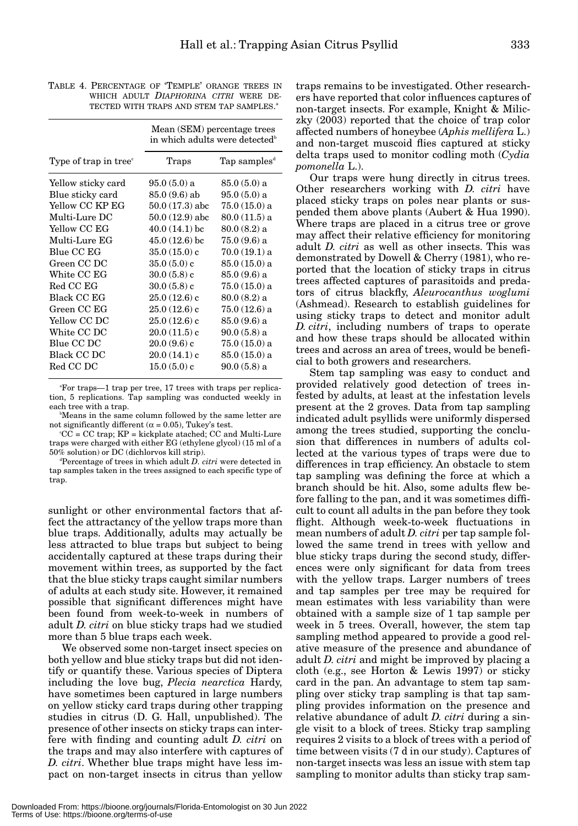|                                   | Mean (SEM) percentage trees<br>in which adults were detected <sup>b</sup> |                                       |  |
|-----------------------------------|---------------------------------------------------------------------------|---------------------------------------|--|
| Type of trap in tree <sup>c</sup> | Traps                                                                     | Tap samples <sup><math>d</math></sup> |  |
| Yellow sticky card                | 95.0(5.0) a                                                               | $85.0(5.0)$ a                         |  |
| Blue sticky card                  | 85.0 (9.6) ab                                                             | $95.0(5.0)$ a                         |  |
| Yellow CC KP EG                   | $50.0(17.3)$ abc                                                          | $75.0(15.0)$ a                        |  |
| Multi-Lure DC                     | $50.0(12.9)$ abc                                                          | $80.0(11.5)$ a                        |  |
| Yellow CC EG                      | $40.0(14.1)$ bc                                                           | $80.0(8.2)$ a                         |  |
| Multi-Lure EG                     | $45.0(12.6)$ bc                                                           | $75.0(9.6)$ a                         |  |
| Blue CC EG                        | 35.0(15.0)c                                                               | 70.0(19.1)a                           |  |
| Green CC DC                       | 35.0(5.0)c                                                                | $85.0(15.0)$ a                        |  |
| White CC EG                       | $30.0(5.8)$ c                                                             | $85.0(9.6)$ a                         |  |
| Red CC EG                         | $30.0(5.8)$ c                                                             | $75.0(15.0)$ a                        |  |
| <b>Black CC EG</b>                | 25.0(12.6)c                                                               | $80.0(8.2)$ a                         |  |
| Green CC EG                       | $25.0(12.6)$ c                                                            | $75.0(12.6)$ a                        |  |
| Yellow CC DC                      | $25.0(12.6)$ c                                                            | $85.0(9.6)$ a                         |  |
| White CC DC                       | $20.0(11.5)$ c                                                            | $90.0(5.8)$ a                         |  |
| Blue CC DC                        | $20.0(9.6)$ c                                                             | $75.0(15.0)$ a                        |  |
| Black CC DC                       | 20.0(14.1)c                                                               | $85.0(15.0)$ a                        |  |
| Red CC DC                         | 15.0(5.0)c                                                                | $90.0(5.8)$ a                         |  |

TABLE 4. PERCENTAGE OF 'TEMPLE' ORANGE TREES IN WHICH ADULT *DIAPHORINA CITRI* WERE DE-TECTED WITH TRAPS AND STEM TAP SAMPLES.<sup>a</sup>

a For traps—1 trap per tree, 17 trees with traps per replication, 5 replications. Tap sampling was conducted weekly in each tree with a trap.

b Means in the same column followed by the same letter are not significantly different (α = 0.05), Tukey's test.

c CC = CC trap; KP = kickplate atached; CC and Multi-Lure traps were charged with either EG (ethylene glycol) (15 ml of a 50% solution) or DC (dichlorvos kill strip).

d Percentage of trees in which adult *D. citri* were detected in tap samples taken in the trees assigned to each specific type of trap.

sunlight or other environmental factors that affect the attractancy of the yellow traps more than blue traps. Additionally, adults may actually be less attracted to blue traps but subject to being accidentally captured at these traps during their movement within trees, as supported by the fact that the blue sticky traps caught similar numbers of adults at each study site. However, it remained possible that significant differences might have been found from week-to-week in numbers of adult *D. citri* on blue sticky traps had we studied more than 5 blue traps each week.

We observed some non-target insect species on both yellow and blue sticky traps but did not identify or quantify these. Various species of Diptera including the love bug, *Plecia nearctica* Hardy, have sometimes been captured in large numbers on yellow sticky card traps during other trapping studies in citrus (D. G. Hall, unpublished). The presence of other insects on sticky traps can interfere with finding and counting adult *D. citri* on the traps and may also interfere with captures of *D. citri*. Whether blue traps might have less impact on non-target insects in citrus than yellow

traps remains to be investigated. Other researchers have reported that color influences captures of non-target insects. For example, Knight & Miliczky (2003) reported that the choice of trap color affected numbers of honeybee (*Aphis mellifera* L.) and non-target muscoid flies captured at sticky delta traps used to monitor codling moth (*Cydia pomonella* L.).

Our traps were hung directly in citrus trees. Other researchers working with *D. citri* have placed sticky traps on poles near plants or suspended them above plants (Aubert & Hua 1990). Where traps are placed in a citrus tree or grove may affect their relative efficiency for monitoring adult *D. citri* as well as other insects. This was demonstrated by Dowell & Cherry (1981), who reported that the location of sticky traps in citrus trees affected captures of parasitoids and predators of citrus blackfly, *Aleurocanthus woglumi* (Ashmead). Research to establish guidelines for using sticky traps to detect and monitor adult *D. citri*, including numbers of traps to operate and how these traps should be allocated within trees and across an area of trees, would be beneficial to both growers and researchers.

Stem tap sampling was easy to conduct and provided relatively good detection of trees infested by adults, at least at the infestation levels present at the 2 groves. Data from tap sampling indicated adult psyllids were uniformly dispersed among the trees studied, supporting the conclusion that differences in numbers of adults collected at the various types of traps were due to differences in trap efficiency. An obstacle to stem tap sampling was defining the force at which a branch should be hit. Also, some adults flew before falling to the pan, and it was sometimes difficult to count all adults in the pan before they took flight. Although week-to-week fluctuations in mean numbers of adult *D. citri* per tap sample followed the same trend in trees with yellow and blue sticky traps during the second study, differences were only significant for data from trees with the yellow traps. Larger numbers of trees and tap samples per tree may be required for mean estimates with less variability than were obtained with a sample size of 1 tap sample per week in 5 trees. Overall, however, the stem tap sampling method appeared to provide a good relative measure of the presence and abundance of adult *D. citri* and might be improved by placing a cloth (e.g., see Horton & Lewis 1997) or sticky card in the pan. An advantage to stem tap sampling over sticky trap sampling is that tap sampling provides information on the presence and relative abundance of adult *D. citri* during a single visit to a block of trees. Sticky trap sampling requires 2 visits to a block of trees with a period of time between visits (7 d in our study). Captures of non-target insects was less an issue with stem tap sampling to monitor adults than sticky trap sam